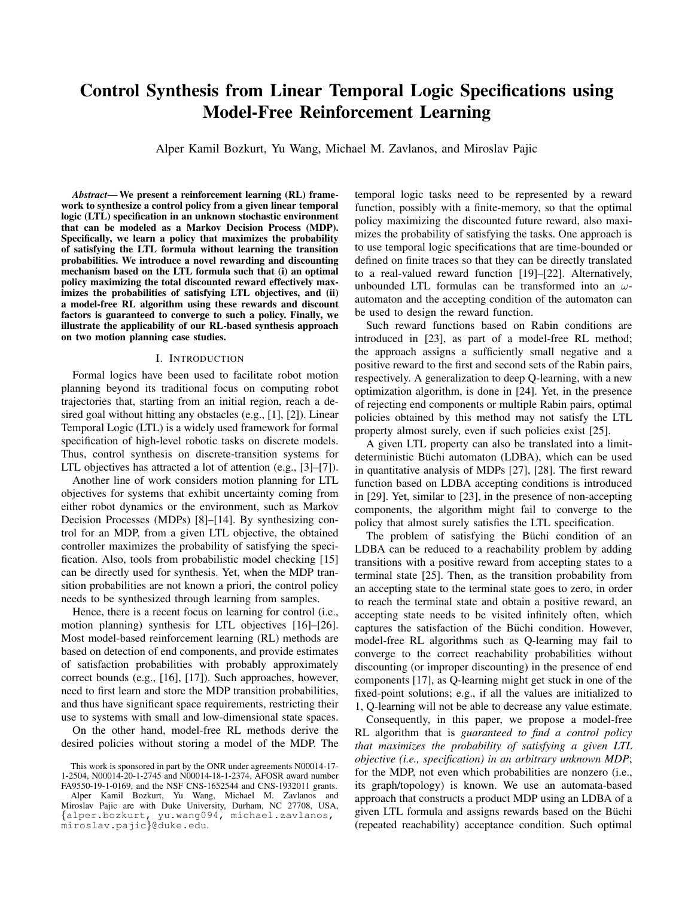# Control Synthesis from Linear Temporal Logic Specifications using Model-Free Reinforcement Learning

Alper Kamil Bozkurt, Yu Wang, Michael M. Zavlanos, and Miroslav Pajic

*Abstract*— We present a reinforcement learning (RL) framework to synthesize a control policy from a given linear temporal logic (LTL) specification in an unknown stochastic environment that can be modeled as a Markov Decision Process (MDP). Specifically, we learn a policy that maximizes the probability of satisfying the LTL formula without learning the transition probabilities. We introduce a novel rewarding and discounting mechanism based on the LTL formula such that (i) an optimal policy maximizing the total discounted reward effectively maximizes the probabilities of satisfying LTL objectives, and (ii) a model-free RL algorithm using these rewards and discount factors is guaranteed to converge to such a policy. Finally, we illustrate the applicability of our RL-based synthesis approach on two motion planning case studies.

#### I. INTRODUCTION

Formal logics have been used to facilitate robot motion planning beyond its traditional focus on computing robot trajectories that, starting from an initial region, reach a desired goal without hitting any obstacles (e.g., [1], [2]). Linear Temporal Logic (LTL) is a widely used framework for formal specification of high-level robotic tasks on discrete models. Thus, control synthesis on discrete-transition systems for LTL objectives has attracted a lot of attention (e.g., [3]–[7]).

Another line of work considers motion planning for LTL objectives for systems that exhibit uncertainty coming from either robot dynamics or the environment, such as Markov Decision Processes (MDPs) [8]–[14]. By synthesizing control for an MDP, from a given LTL objective, the obtained controller maximizes the probability of satisfying the specification. Also, tools from probabilistic model checking [15] can be directly used for synthesis. Yet, when the MDP transition probabilities are not known a priori, the control policy needs to be synthesized through learning from samples.

Hence, there is a recent focus on learning for control (i.e., motion planning) synthesis for LTL objectives [16]–[26]. Most model-based reinforcement learning (RL) methods are based on detection of end components, and provide estimates of satisfaction probabilities with probably approximately correct bounds (e.g., [16], [17]). Such approaches, however, need to first learn and store the MDP transition probabilities, and thus have significant space requirements, restricting their use to systems with small and low-dimensional state spaces.

On the other hand, model-free RL methods derive the desired policies without storing a model of the MDP. The

This work is sponsored in part by the ONR under agreements N00014-17- 1-2504, N00014-20-1-2745 and N00014-18-1-2374, AFOSR award number FA9550-19-1-0169, and the NSF CNS-1652544 and CNS-1932011 grants. Alper Kamil Bozkurt, Yu Wang, Michael M. Zavlanos and Miroslav Pajic are with Duke University, Durham, NC 27708, USA, {alper.bozkurt, yu.wang094, michael.zavlanos, miroslav.pajic}@duke.edu.

temporal logic tasks need to be represented by a reward function, possibly with a finite-memory, so that the optimal policy maximizing the discounted future reward, also maximizes the probability of satisfying the tasks. One approach is to use temporal logic specifications that are time-bounded or defined on finite traces so that they can be directly translated to a real-valued reward function [19]–[22]. Alternatively, unbounded LTL formulas can be transformed into an  $\omega$ automaton and the accepting condition of the automaton can be used to design the reward function.

Such reward functions based on Rabin conditions are introduced in [23], as part of a model-free RL method; the approach assigns a sufficiently small negative and a positive reward to the first and second sets of the Rabin pairs, respectively. A generalization to deep Q-learning, with a new optimization algorithm, is done in [24]. Yet, in the presence of rejecting end components or multiple Rabin pairs, optimal policies obtained by this method may not satisfy the LTL property almost surely, even if such policies exist [25].

A given LTL property can also be translated into a limitdeterministic Büchi automaton (LDBA), which can be used in quantitative analysis of MDPs [27], [28]. The first reward function based on LDBA accepting conditions is introduced in [29]. Yet, similar to [23], in the presence of non-accepting components, the algorithm might fail to converge to the policy that almost surely satisfies the LTL specification.

The problem of satisfying the Büchi condition of an LDBA can be reduced to a reachability problem by adding transitions with a positive reward from accepting states to a terminal state [25]. Then, as the transition probability from an accepting state to the terminal state goes to zero, in order to reach the terminal state and obtain a positive reward, an accepting state needs to be visited infinitely often, which captures the satisfaction of the Büchi condition. However, model-free RL algorithms such as Q-learning may fail to converge to the correct reachability probabilities without discounting (or improper discounting) in the presence of end components [17], as Q-learning might get stuck in one of the fixed-point solutions; e.g., if all the values are initialized to 1, Q-learning will not be able to decrease any value estimate.

Consequently, in this paper, we propose a model-free RL algorithm that is *guaranteed to find a control policy that maximizes the probability of satisfying a given LTL objective (i.e., specification) in an arbitrary unknown MDP*; for the MDP, not even which probabilities are nonzero (i.e., its graph/topology) is known. We use an automata-based approach that constructs a product MDP using an LDBA of a given LTL formula and assigns rewards based on the Büchi (repeated reachability) acceptance condition. Such optimal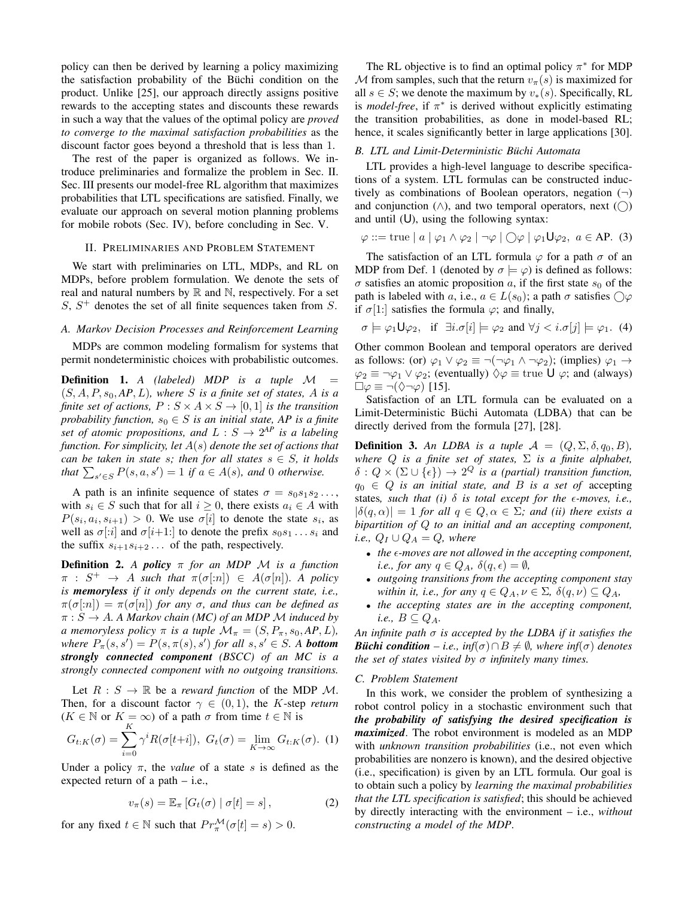policy can then be derived by learning a policy maximizing the satisfaction probability of the Büchi condition on the product. Unlike [25], our approach directly assigns positive rewards to the accepting states and discounts these rewards in such a way that the values of the optimal policy are *proved to converge to the maximal satisfaction probabilities* as the discount factor goes beyond a threshold that is less than 1.

The rest of the paper is organized as follows. We introduce preliminaries and formalize the problem in Sec. II. Sec. III presents our model-free RL algorithm that maximizes probabilities that LTL specifications are satisfied. Finally, we evaluate our approach on several motion planning problems for mobile robots (Sec. IV), before concluding in Sec. V.

# II. PRELIMINARIES AND PROBLEM STATEMENT

We start with preliminaries on LTL, MDPs, and RL on MDPs, before problem formulation. We denote the sets of real and natural numbers by  $\mathbb R$  and  $\mathbb N$ , respectively. For a set  $S, S<sup>+</sup>$  denotes the set of all finite sequences taken from  $S$ .

# *A. Markov Decision Processes and Reinforcement Learning*

MDPs are common modeling formalism for systems that permit nondeterministic choices with probabilistic outcomes.

Definition 1. *A (labeled) MDP is a tuple* M =  $(S, A, P, s_0, AP, L)$ *, where* S *is a finite set of states,* A *is a finite set of actions,*  $P : S \times A \times S \rightarrow [0, 1]$  *is the transition probability function,*  $s_0 \in S$  *is an initial state, AP is a finite set of atomic propositions, and*  $L : S \rightarrow 2^{AP}$  *is a labeling function. For simplicity, let* A(s) *denote the set of actions that can be taken in state s; then for all states*  $s \in S$ *, it holds that*  $\sum_{s' \in S} P(s, a, s') = 1$  *if*  $a \in A(s)$ *, and* 0 *otherwise.* 

A path is an infinite sequence of states  $\sigma = s_0 s_1 s_2 \dots$ , with  $s_i \in S$  such that for all  $i \geq 0$ , there exists  $a_i \in A$  with  $P(s_i, a_i, s_{i+1}) > 0$ . We use  $\sigma[i]$  to denote the state  $s_i$ , as well as  $\sigma[i]$  and  $\sigma[i+1]$  to denote the prefix  $s_0s_1 \ldots s_i$  and the suffix  $s_{i+1}s_{i+2} \ldots$  of the path, respectively.

Definition 2. *A policy* π *for an MDP* M *is a function*  $\pi : S^+ \to A$  *such that*  $\pi(\sigma[n]) \in A(\sigma[n])$ *. A policy is memoryless if it only depends on the current state, i.e.,*  $\pi(\sigma[n]) = \pi(\sigma[n])$  *for any*  $\sigma$ *, and thus can be defined as*  $\pi: S \to A$ *. A Markov chain (MC) of an MDP M induced by a* memoryless policy  $\pi$  *is a tuple*  $\mathcal{M}_{\pi} = (S, P_{\pi}, s_0, AP, L)$ *,*  $where P_{\pi}(s, s') = P(s, \pi(s), s')$  *for all*  $s, s' \in S$ *.* A **bottom** *strongly connected component (BSCC) of an MC is a strongly connected component with no outgoing transitions.*

Let  $R : S \to \mathbb{R}$  be a *reward function* of the MDP M. Then, for a discount factor  $\gamma \in (0,1)$ , the K-step *return*  $(K \in \mathbb{N}$  or  $K = \infty)$  of a path  $\sigma$  from time  $t \in \mathbb{N}$  is

$$
G_{t:K}(\sigma) = \sum_{i=0} \gamma^i R(\sigma[t+i]), \ G_t(\sigma) = \lim_{K \to \infty} G_{t:K}(\sigma). \tag{1}
$$

Under a policy  $\pi$ , the *value* of a state s is defined as the expected return of a path – i.e.,

$$
v_{\pi}(s) = \mathbb{E}_{\pi} \left[ G_t(\sigma) \mid \sigma[t] = s \right], \tag{2}
$$

for any fixed  $t \in \mathbb{N}$  such that  $Pr_{\pi}^{\mathcal{M}}(\sigma[t] = s) > 0$ .

The RL objective is to find an optimal policy  $\pi^*$  for MDP M from samples, such that the return  $v_\pi(s)$  is maximized for all  $s \in S$ ; we denote the maximum by  $v_*(s)$ . Specifically, RL is *model-free*, if  $\pi^*$  is derived without explicitly estimating the transition probabilities, as done in model-based RL; hence, it scales significantly better in large applications [30].

#### *B. LTL and Limit-Deterministic Buchi Automata ¨*

LTL provides a high-level language to describe specifications of a system. LTL formulas can be constructed inductively as combinations of Boolean operators, negation  $(\neg)$ and conjunction  $(\wedge)$ , and two temporal operators, next  $(\bigcap)$ and until  $(U)$ , using the following syntax:

$$
\varphi ::= \text{true} \mid a \mid \varphi_1 \land \varphi_2 \mid \neg \varphi \mid \bigcirc \varphi \mid \varphi_1 \mathsf{U} \varphi_2, \ a \in \mathsf{AP}. \ (3)
$$

The satisfaction of an LTL formula  $\varphi$  for a path  $\sigma$  of an MDP from Def. 1 (denoted by  $\sigma \models \varphi$ ) is defined as follows:  $\sigma$  satisfies an atomic proposition a, if the first state  $s_0$  of the path is labeled with a, i.e.,  $a \in L(s_0)$ ; a path  $\sigma$  satisfies  $\bigcirc \varphi$ if  $\sigma[1:]$  satisfies the formula  $\varphi$ ; and finally,

$$
\sigma \models \varphi_1 \mathsf{U} \varphi_2
$$
, if  $\exists i \, \sigma[i] \models \varphi_2$  and  $\forall j < i \, \sigma[j] \models \varphi_1$ . (4)

Other common Boolean and temporal operators are derived as follows: (or)  $\varphi_1 \vee \varphi_2 \equiv \neg(\neg \varphi_1 \wedge \neg \varphi_2)$ ; (implies)  $\varphi_1 \rightarrow$  $\varphi_2 \equiv \neg \varphi_1 \vee \varphi_2$ ; (eventually)  $\Diamond \varphi \equiv \text{true } \bigcup \varphi$ ; and (always)  $\Box \varphi \equiv \neg (\Diamond \neg \varphi)$  [15].

Satisfaction of an LTL formula can be evaluated on a Limit-Deterministic Büchi Automata (LDBA) that can be directly derived from the formula [27], [28].

**Definition 3.** An LDBA is a tuple  $\mathcal{A} = (Q, \Sigma, \delta, q_0, B)$ , *where* Q *is a finite set of states,* Σ *is a finite alphabet,*  $\delta: Q \times (\Sigma \cup {\{\epsilon\}}) \to 2^Q$  is a (partial) transition function,  $q_0 \in Q$  *is an initial state, and B is a set of* accepting states, such that (i)  $\delta$  is total except for the  $\epsilon$ -moves, i.e.,  $|\delta(q, \alpha)| = 1$  *for all*  $q \in Q$ ,  $\alpha \in \Sigma$ *; and (ii) there exists a bipartition of* Q *to an initial and an accepting component, i.e.,*  $Q_I \cup Q_A = Q$ *, where* 

- *the -moves are not allowed in the accepting component, i.e., for any*  $q \in Q_A$ ,  $\delta(q, \epsilon) = \emptyset$ ,
- *outgoing transitions from the accepting component stay within it, i.e., for any*  $q \in Q_A$ ,  $\nu \in \Sigma$ ,  $\delta(q, \nu) \subseteq Q_A$ ,
- *the accepting states are in the accepting component, i.e.,*  $B \subseteq Q_A$ .

*An infinite path* σ *is accepted by the LDBA if it satisfies the Büchi condition* – *i.e.,*  $inf(\sigma) \cap B \neq \emptyset$ *, where*  $inf(\sigma)$  *denotes the set of states visited by* σ *infinitely many times.*

### *C. Problem Statement*

In this work, we consider the problem of synthesizing a robot control policy in a stochastic environment such that *the probability of satisfying the desired specification is maximized*. The robot environment is modeled as an MDP with *unknown transition probabilities* (i.e., not even which probabilities are nonzero is known), and the desired objective (i.e., specification) is given by an LTL formula. Our goal is to obtain such a policy by *learning the maximal probabilities that the LTL specification is satisfied*; this should be achieved by directly interacting with the environment – i.e., *without constructing a model of the MDP*.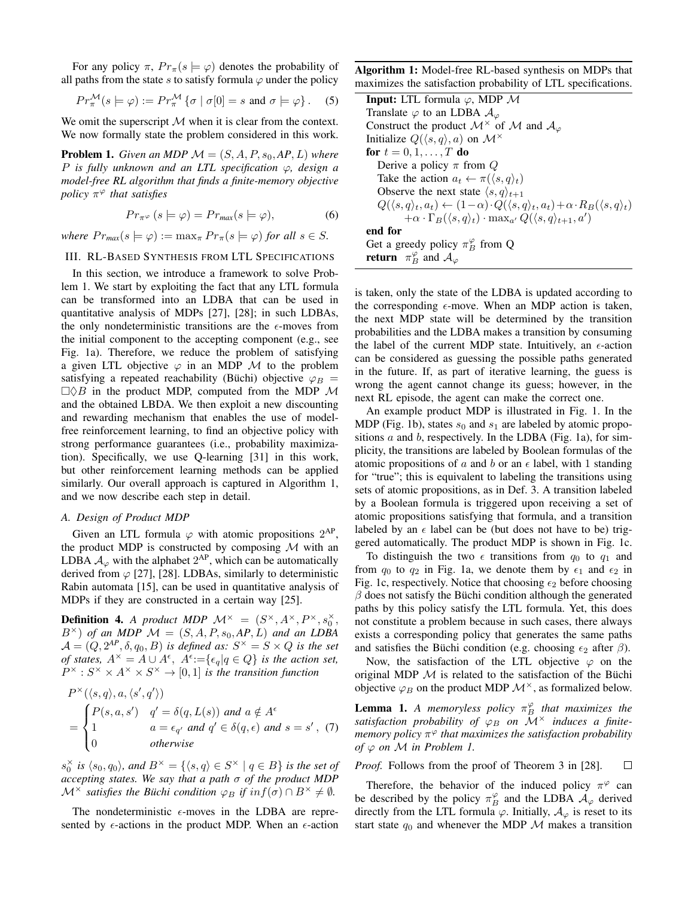For any policy  $\pi$ ,  $Pr_{\pi}(s \models \varphi)$  denotes the probability of all paths from the state s to satisfy formula  $\varphi$  under the policy

$$
Pr_{\pi}^{\mathcal{M}}(s \models \varphi) := Pr_{\pi}^{\mathcal{M}} \{ \sigma \mid \sigma[0] = s \text{ and } \sigma \models \varphi \}.
$$
 (5)

We omit the superscript  $M$  when it is clear from the context. We now formally state the problem considered in this work.

**Problem 1.** *Given an MDP*  $\mathcal{M} = (S, A, P, s_0, AP, L)$  *where* P *is fully unknown and an LTL specification* ϕ*, design a model-free RL algorithm that finds a finite-memory objective policy* π <sup>ϕ</sup> *that satisfies*

$$
Pr_{\pi^{\varphi}}\left(s\models\varphi\right) = Pr_{\max}(s\models\varphi),\tag{6}
$$

*where*  $Pr_{max}(s \models \varphi) := \max_{\pi} Pr_{\pi}(s \models \varphi)$  *for all*  $s \in S$ *.* 

# III. RL-BASED SYNTHESIS FROM LTL SPECIFICATIONS

In this section, we introduce a framework to solve Problem 1. We start by exploiting the fact that any LTL formula can be transformed into an LDBA that can be used in quantitative analysis of MDPs [27], [28]; in such LDBAs, the only nondeterministic transitions are the  $\epsilon$ -moves from the initial component to the accepting component (e.g., see Fig. 1a). Therefore, we reduce the problem of satisfying a given LTL objective  $\varphi$  in an MDP M to the problem satisfying a repeated reachability (Büchi) objective  $\varphi_B$  =  $\Box \Diamond B$  in the product MDP, computed from the MDP M and the obtained LBDA. We then exploit a new discounting and rewarding mechanism that enables the use of modelfree reinforcement learning, to find an objective policy with strong performance guarantees (i.e., probability maximization). Specifically, we use Q-learning [31] in this work, but other reinforcement learning methods can be applied similarly. Our overall approach is captured in Algorithm 1, and we now describe each step in detail.

## *A. Design of Product MDP*

Given an LTL formula  $\varphi$  with atomic propositions  $2^{AP}$ , the product MDP is constructed by composing  $M$  with an LDBA  $\mathcal{A}_{\varphi}$  with the alphabet  $2^{AP}$ , which can be automatically derived from  $\varphi$  [27], [28]. LDBAs, similarly to deterministic Rabin automata [15], can be used in quantitative analysis of MDPs if they are constructed in a certain way [25].

**Definition 4.** *A product MDP*  $\mathcal{M}^{\times} = (S^{\times}, A^{\times}, P^{\times}, s_0^{\times})$  $B^{\times}$ ) *of an MDP*  $\mathcal{M} = (S, A, P, s_0, AP, L)$  *and an LDBA*  $\mathcal{A} = (Q, 2^{AP}, \delta, q_0, B)$  *is defined as:*  $S^{\times} = S \times Q$  *is the set of states,*  $A^{\times} = A \cup \overline{A^{\epsilon}}$ ,  $A^{\epsilon} := {\epsilon_q | q \in Q}$  *is the action set,*  $P^{\times}: S^{\times} \times A^{\times} \times S^{\times} \rightarrow [0,1]$  *is the transition function* 

$$
P^{\times}(\langle s, q \rangle, a, \langle s', q' \rangle)
$$
  
= 
$$
\begin{cases} P(s, a, s') & q' = \delta(q, L(s)) \text{ and } a \notin A^{\epsilon} \\ 1 & a = \epsilon_{q'} \text{ and } q' \in \delta(q, \epsilon) \text{ and } s = s', \\ 0 & otherwise \end{cases}
$$
 (7)

 $s_0^{\times}$  *is*  $\langle s_0, q_0 \rangle$ *, and*  $B^{\times} = \{ \langle s, q \rangle \in S^{\times} \mid q \in B \}$  *is the set of accepting states. We say that a path* σ *of the product MDP*  $\mathcal{M}^{\times}$  *satisfies the Büchi condition*  $\varphi_B$  *if*  $inf(\sigma) \cap B^{\times} \neq \emptyset$ *.* 

The nondeterministic  $\epsilon$ -moves in the LDBA are represented by  $\epsilon$ -actions in the product MDP. When an  $\epsilon$ -action Algorithm 1: Model-free RL-based synthesis on MDPs that maximizes the satisfaction probability of LTL specifications.

| <b>Input:</b> LTL formula $\varphi$ , MDP M                                                                                         |
|-------------------------------------------------------------------------------------------------------------------------------------|
| Translate $\varphi$ to an LDBA $\mathcal{A}_{\varphi}$                                                                              |
| Construct the product $\mathcal{M}^{\times}$ of $\mathcal{M}$ and $\mathcal{A}_{\varphi}$                                           |
| Initialize $Q(\langle s, q \rangle, a)$ on $\mathcal{M}^{\times}$                                                                   |
| for $t = 0, 1, \ldots, T$ do                                                                                                        |
| Derive a policy $\pi$ from Q                                                                                                        |
| Take the action $a_t \leftarrow \pi(\langle s, q \rangle_t)$                                                                        |
| Observe the next state $\langle s, q \rangle_{t+1}$                                                                                 |
| $Q(\langle s,q \rangle_t, a_t) \leftarrow (1-\alpha) \cdot Q(\langle s,q \rangle_t, a_t) + \alpha \cdot R_B(\langle s,q \rangle_t)$ |
| $+\alpha \cdot \Gamma_B(\langle s,q \rangle_t) \cdot \max_{a'} Q(\langle s,q \rangle_{t+1},a')$                                     |
| end for                                                                                                                             |
| Get a greedy policy $\pi_B^{\varphi}$ from Q                                                                                        |
| <b>return</b> $\pi_B^{\varphi}$ and $\mathcal{A}_{\varphi}$                                                                         |
|                                                                                                                                     |

is taken, only the state of the LDBA is updated according to the corresponding  $\epsilon$ -move. When an MDP action is taken, the next MDP state will be determined by the transition probabilities and the LDBA makes a transition by consuming the label of the current MDP state. Intuitively, an  $\epsilon$ -action can be considered as guessing the possible paths generated in the future. If, as part of iterative learning, the guess is wrong the agent cannot change its guess; however, in the next RL episode, the agent can make the correct one.

An example product MDP is illustrated in Fig. 1. In the MDP (Fig. 1b), states  $s_0$  and  $s_1$  are labeled by atomic propositions  $a$  and  $b$ , respectively. In the LDBA (Fig. 1a), for simplicity, the transitions are labeled by Boolean formulas of the atomic propositions of a and b or an  $\epsilon$  label, with 1 standing for "true"; this is equivalent to labeling the transitions using sets of atomic propositions, as in Def. 3. A transition labeled by a Boolean formula is triggered upon receiving a set of atomic propositions satisfying that formula, and a transition labeled by an  $\epsilon$  label can be (but does not have to be) triggered automatically. The product MDP is shown in Fig. 1c.

To distinguish the two  $\epsilon$  transitions from  $q_0$  to  $q_1$  and from  $q_0$  to  $q_2$  in Fig. 1a, we denote them by  $\epsilon_1$  and  $\epsilon_2$  in Fig. 1c, respectively. Notice that choosing  $\epsilon_2$  before choosing  $\beta$  does not satisfy the Büchi condition although the generated paths by this policy satisfy the LTL formula. Yet, this does not constitute a problem because in such cases, there always exists a corresponding policy that generates the same paths and satisfies the Büchi condition (e.g. choosing  $\epsilon_2$  after  $\beta$ ).

Now, the satisfaction of the LTL objective  $\varphi$  on the original MDP  $\mathcal M$  is related to the satisfaction of the Büchi objective  $\varphi_B$  on the product MDP  $\mathcal{M}^{\times}$ , as formalized below.

**Lemma 1.** A memoryless policy  $\pi_B^{\varphi}$  that maximizes the *satisfaction probability of*  $\varphi_B$  *on*  $\mathcal{M}^{\times}$  *induces a finitememory policy* π <sup>ϕ</sup> *that maximizes the satisfaction probability of*  $\varphi$  *on*  $M$  *in Problem 1.* 

*Proof.* Follows from the proof of Theorem 3 in [28].  $\Box$ 

Therefore, the behavior of the induced policy  $\pi^{\varphi}$  can be described by the policy  $\pi_B^{\varphi}$  and the LDBA  $\mathcal{A}_{\varphi}$  derived directly from the LTL formula  $\varphi$ . Initially,  $\mathcal{A}_{\varphi}$  is reset to its start state  $q_0$  and whenever the MDP M makes a transition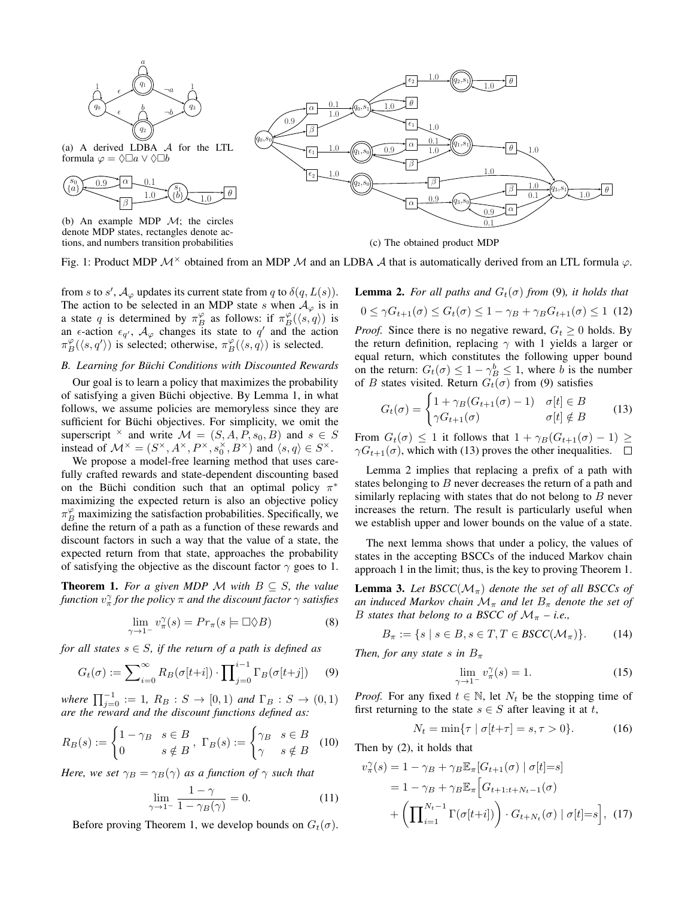

formula  $\varphi = \Diamond \Box a \vee \Diamond \Box b$ 



(b) An example MDP  $\mathcal{M}$ ; the circles denote MDP states, rectangles denote actions, and numbers transition probabilities



(c) The obtained product MDP

Fig. 1: Product MDP  $\mathcal{M}^{\times}$  obtained from an MDP  $\mathcal{M}$  and an LDBA  $\mathcal{A}$  that is automatically derived from an LTL formula  $\varphi$ .

from s to s',  $\mathcal{A}_{\varphi}$  updates its current state from q to  $\delta(q, L(s))$ . The action to be selected in an MDP state s when  $A_{\varphi}$  is in a state q is determined by  $\pi_B^{\varphi}$  as follows: if  $\pi_B^{\varphi}(\langle s, q \rangle)$  is an  $\epsilon$ -action  $\epsilon_{q'}$ ,  $\mathcal{A}_{\varphi}$  changes its state to  $q'$  and the action  $\pi_B^{\varphi}(\langle s, q' \rangle)$  is selected; otherwise,  $\pi_B^{\varphi}(\langle s, q \rangle)$  is selected.

# *B. Learning for Buchi Conditions with Discounted Rewards ¨*

Our goal is to learn a policy that maximizes the probability of satisfying a given Büchi objective. By Lemma 1, in what follows, we assume policies are memoryless since they are sufficient for Büchi objectives. For simplicity, we omit the superscript  $\times$  and write  $\mathcal{M} = (S, A, P, s_0, B)$  and  $s \in S$ instead of  $\mathcal{M}^{\times} = (S^{\times}, A^{\times}, P^{\times}, s_0^{\times}, B^{\times})$  and  $\langle s, q \rangle \in S^{\times}$ .

We propose a model-free learning method that uses carefully crafted rewards and state-dependent discounting based on the Büchi condition such that an optimal policy  $\pi^*$ maximizing the expected return is also an objective policy  $\pi_B^{\varphi}$  maximizing the satisfaction probabilities. Specifically, we define the return of a path as a function of these rewards and discount factors in such a way that the value of a state, the expected return from that state, approaches the probability of satisfying the objective as the discount factor  $\gamma$  goes to 1.

**Theorem 1.** For a given MDP M with  $B \subseteq S$ , the value function  $v_\pi^\gamma$  for the policy  $\pi$  and the discount factor  $\gamma$  satisfies

$$
\lim_{\gamma \to 1^{-}} v_{\pi}^{\gamma}(s) = Pr_{\pi}(s \models \Box \Diamond B)
$$
\n(8)

*for all states*  $s \in S$ *, if the return of a path is defined as* 

$$
G_t(\sigma) := \sum_{i=0}^{\infty} R_B(\sigma[t+i]) \cdot \prod_{j=0}^{i-1} \Gamma_B(\sigma[t+j]) \tag{9}
$$

 $where \prod_{j=0}^{-1} := 1, R_B : S → [0,1)$  *and*  $\Gamma_B : S → (0,1)$ *are the reward and the discount functions defined as:*

$$
R_B(s) := \begin{cases} 1 - \gamma_B & s \in B \\ 0 & s \notin B \end{cases}, \ \Gamma_B(s) := \begin{cases} \gamma_B & s \in B \\ \gamma & s \notin B \end{cases}
$$
 (10)

*Here, we set*  $\gamma_B = \gamma_B(\gamma)$  *as a function of*  $\gamma$  *such that* 

$$
\lim_{\gamma \to 1^{-}} \frac{1 - \gamma}{1 - \gamma_B(\gamma)} = 0.
$$
\n(11)

Before proving Theorem 1, we develop bounds on  $G_t(\sigma)$ .

**Lemma 2.** *For all paths and*  $G_t(\sigma)$  *from* (9)*, it holds that* 

 $0 \leq \gamma G_{t+1}(\sigma) \leq G_t(\sigma) \leq 1 - \gamma_B + \gamma_B G_{t+1}(\sigma) \leq 1$  (12)

*Proof.* Since there is no negative reward,  $G_t \geq 0$  holds. By the return definition, replacing  $\gamma$  with 1 yields a larger or equal return, which constitutes the following upper bound on the return:  $G_t(\sigma) \leq 1 - \gamma_B^b \leq 1$ , where b is the number of B states visited. Return  $G_t(\sigma)$  from (9) satisfies

$$
G_t(\sigma) = \begin{cases} 1 + \gamma_B (G_{t+1}(\sigma) - 1) & \sigma[t] \in B \\ \gamma G_{t+1}(\sigma) & \sigma[t] \notin B \end{cases}
$$
(13)

From  $G_t(\sigma) \leq 1$  it follows that  $1 + \gamma_B(G_{t+1}(\sigma) - 1) \geq$  $\gamma G_{t+1}(\sigma)$ , which with (13) proves the other inequalities.  $\Box$ 

Lemma 2 implies that replacing a prefix of a path with states belonging to  $B$  never decreases the return of a path and similarly replacing with states that do not belong to  $B$  never increases the return. The result is particularly useful when we establish upper and lower bounds on the value of a state.

The next lemma shows that under a policy, the values of states in the accepting BSCCs of the induced Markov chain approach 1 in the limit; thus, is the key to proving Theorem 1.

**Lemma 3.** Let  $BSCC(\mathcal{M}_{\pi})$  denote the set of all BSCCs of *an induced Markov chain*  $\mathcal{M}_{\pi}$  *and let*  $B_{\pi}$  *denote the set of* B *states that belong to a BSCC of*  $\mathcal{M}_{\pi}$  – *i.e.*,

$$
B_{\pi} := \{ s \mid s \in B, s \in T, T \in BSCC(\mathcal{M}_{\pi}) \}. \tag{14}
$$

*Then, for any state* s in  $B_\pi$ 

$$
\lim_{\gamma \to 1^-} v_{\pi}^{\gamma}(s) = 1. \tag{15}
$$

*Proof.* For any fixed  $t \in \mathbb{N}$ , let  $N_t$  be the stopping time of first returning to the state  $s \in S$  after leaving it at t,

$$
N_t = \min\{\tau \mid \sigma[t + \tau] = s, \tau > 0\}.
$$
 (16)

Then by (2), it holds that

$$
v_{\pi}^{\gamma}(s) = 1 - \gamma_B + \gamma_B \mathbb{E}_{\pi} [G_{t+1}(\sigma) | \sigma[t] = s]
$$
  
= 1 - \gamma\_B + \gamma\_B \mathbb{E}\_{\pi} \Big[ G\_{t+1:t+N\_t-1}(\sigma)   
+ \left( \prod\_{i=1}^{N\_t-1} \Gamma(\sigma[t+i]) \right) \cdot G\_{t+N\_t}(\sigma) | \sigma[t] = s \Big], (17)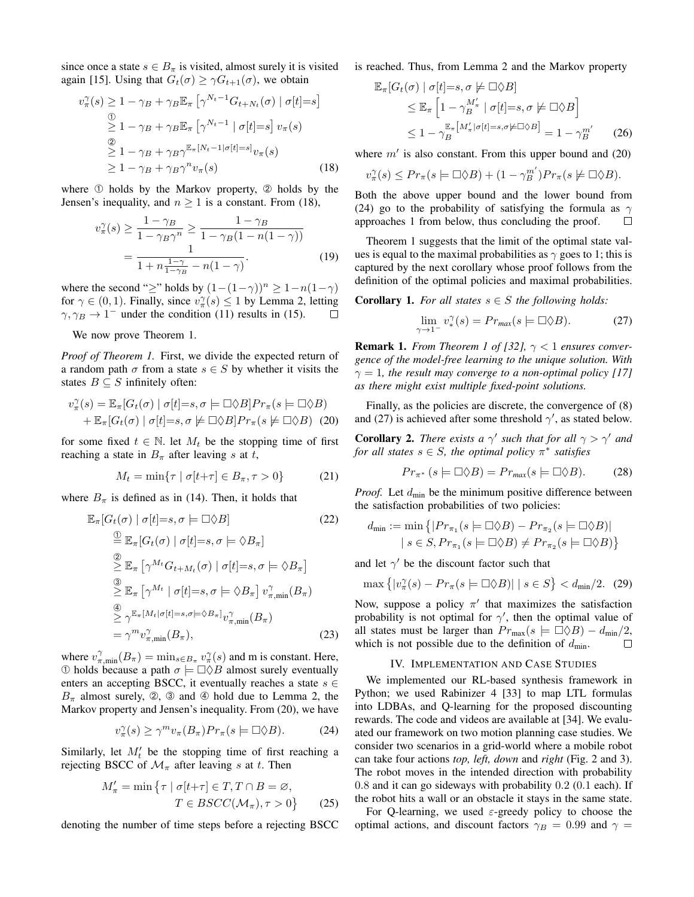since once a state  $s \in B_{\pi}$  is visited, almost surely it is visited again [15]. Using that  $G_t(\sigma) \geq \gamma G_{t+1}(\sigma)$ , we obtain

$$
v_{\pi}^{\gamma}(s) \ge 1 - \gamma_B + \gamma_B \mathbb{E}_{\pi} \left[ \gamma^{N_t - 1} G_{t + N_t}(\sigma) \mid \sigma[t] = s \right]
$$
  
\n
$$
\stackrel{\textcircled{\tiny 1}}{\ge} 1 - \gamma_B + \gamma_B \mathbb{E}_{\pi} \left[ \gamma^{N_t - 1} \mid \sigma[t] = s \right] v_{\pi}(s)
$$
  
\n
$$
\stackrel{\textcircled{\tiny 2}}{\ge} 1 - \gamma_B + \gamma_B \gamma^{\mathbb{E}_{\pi}[N_t - 1] \sigma[t] = s]} v_{\pi}(s)
$$
  
\n
$$
\ge 1 - \gamma_B + \gamma_B \gamma^n v_{\pi}(s)
$$
\n(18)

where  $\odot$  holds by the Markov property,  $\odot$  holds by the Jensen's inequality, and  $n \geq 1$  is a constant. From (18),

$$
v_{\pi}^{\gamma}(s) \ge \frac{1 - \gamma_B}{1 - \gamma_B \gamma^n} \ge \frac{1 - \gamma_B}{1 - \gamma_B (1 - n(1 - \gamma))}
$$
  
= 
$$
\frac{1}{1 + n \frac{1 - \gamma}{1 - \gamma_B} - n(1 - \gamma)}.
$$
 (19)

where the second "≥" holds by  $(1-(1-\gamma))^n \geq 1-n(1-\gamma)$ for  $\gamma \in (0, 1)$ . Finally, since  $v_{\pi}^{\gamma}(s) \le 1$  by Lemma 2, letting  $\gamma$ ,  $\gamma_B \rightarrow 1^-$  under the condition (11) results in (15). □

We now prove Theorem 1.

*Proof of Theorem 1.* First, we divide the expected return of a random path  $\sigma$  from a state  $s \in S$  by whether it visits the states  $B \subseteq S$  infinitely often:

$$
v_{\pi}^{\gamma}(s) = \mathbb{E}_{\pi}[G_t(\sigma) \mid \sigma[t] = s, \sigma \models \Box \Diamond B] Pr_{\pi}(s \models \Box \Diamond B)
$$

$$
+ \mathbb{E}_{\pi}[G_t(\sigma) \mid \sigma[t] = s, \sigma \not\models \Box \Diamond B] Pr_{\pi}(s \not\models \Box \Diamond B) (20)
$$

for some fixed  $t \in \mathbb{N}$ . let  $M_t$  be the stopping time of first reaching a state in  $B_{\pi}$  after leaving s at t,

$$
M_t = \min\{\tau \mid \sigma[t+\tau] \in B_\pi, \tau > 0\} \tag{21}
$$

where  $B_{\pi}$  is defined as in (14). Then, it holds that

$$
\mathbb{E}_{\pi}[G_t(\sigma) | \sigma[t]=s, \sigma \models \Box \Diamond B]
$$
\n
$$
\stackrel{\textcircled{\tiny 1}}{=} \mathbb{E}_{\pi}[G_t(\sigma) | \sigma[t]=s, \sigma \models \Diamond B_{\pi}]
$$
\n
$$
\stackrel{\textcircled{\tiny 2}}{=} \mathbb{E}_{\pi}[\gamma^{M_t}G_{t+M_t}(\sigma) | \sigma[t]=s, \sigma \models \Diamond B_{\pi}]
$$
\n
$$
\stackrel{\textcircled{\tiny 3}}{=} \mathbb{E}_{\pi}[\gamma^{M_t} | \sigma[t]=s, \sigma \models \Diamond B_{\pi}] v_{\pi,\min}^{\gamma}(B_{\pi})
$$
\n
$$
\stackrel{\textcircled{\tiny 4}}{=} \gamma^{\mathbb{E}_{\pi}[M_t|\sigma[t]=s, \sigma \models \Diamond B_{\pi}]} v_{\pi,\min}^{\gamma}(B_{\pi})
$$
\n
$$
= \gamma^{m} v_{\pi,\min}^{\gamma}(B_{\pi}), \qquad (23)
$$

where  $v_{\pi,\min}^{\gamma}(B_{\pi}) = \min_{s \in B_{\pi}} v_{\pi}^{\gamma}(s)$  and m is constant. Here, ① holds because a path  $σ$   $\models □\Diamond B$  almost surely eventually enters an accepting BSCC, it eventually reaches a state  $s \in$  $B_{\pi}$  almost surely, ②, ③ and ④ hold due to Lemma 2, the Markov property and Jensen's inequality. From (20), we have

$$
v_{\pi}^{\gamma}(s) \ge \gamma^{m} v_{\pi}(B_{\pi}) Pr_{\pi}(s = \Box \Diamond B). \tag{24}
$$

Similarly, let  $M_t'$  be the stopping time of first reaching a rejecting BSCC of  $\mathcal{M}_{\pi}$  after leaving s at t. Then

$$
M'_{\pi} = \min \{ \tau \mid \sigma[t+\tau] \in T, T \cap B = \varnothing, T \in BSCC(\mathcal{M}_{\pi}), \tau > 0 \}
$$
 (25)

denoting the number of time steps before a rejecting BSCC

is reached. Thus, from Lemma 2 and the Markov property

$$
\mathbb{E}_{\pi}[G_t(\sigma) | \sigma[t]=s, \sigma \not\models \Box \Diamond B]
$$
  
\n
$$
\leq \mathbb{E}_{\pi} \left[1 - \gamma_B^{M'_{\pi}} | \sigma[t]=s, \sigma \not\models \Box \Diamond B\right]
$$
  
\n
$$
\leq 1 - \gamma_B^{\mathbb{E}_{\pi}[M'_{\pi} | \sigma[t]=s, \sigma \not\models \Box \Diamond B]} = 1 - \gamma_B^{m'} \qquad (26)
$$

where  $m'$  is also constant. From this upper bound and (20)

$$
v_{\pi}^{\gamma}(s) \le Pr_{\pi}(s \models \Box \Diamond B) + (1 - \gamma_B^{m'}) Pr_{\pi}(s \not\models \Box \Diamond B).
$$

Both the above upper bound and the lower bound from (24) go to the probability of satisfying the formula as  $\gamma$ approaches 1 from below, thus concluding the proof.  $\Box$ 

Theorem 1 suggests that the limit of the optimal state values is equal to the maximal probabilities as  $\gamma$  goes to 1; this is captured by the next corollary whose proof follows from the definition of the optimal policies and maximal probabilities.

**Corollary 1.** *For all states*  $s \in S$  *the following holds:* 

$$
\lim_{\gamma \to 1^{-}} v_*^{\gamma}(s) = Pr_{\text{max}}(s \models \Box \Diamond B). \tag{27}
$$

**Remark 1.** *From Theorem 1 of [32],*  $\gamma$  < 1 *ensures convergence of the model-free learning to the unique solution. With*  $\gamma = 1$ , the result may converge to a non-optimal policy [17] *as there might exist multiple fixed-point solutions.*

Finally, as the policies are discrete, the convergence of (8) and (27) is achieved after some threshold  $\gamma'$ , as stated below.

**Corollary 2.** *There exists a*  $\gamma'$  *such that for all*  $\gamma > \gamma'$  *and for all states*  $s \in S$ *, the optimal policy*  $\pi^*$  *satisfies* 

$$
Pr_{\pi^*} (s \models \Box \Diamond B) = Pr_{max}(s \models \Box \Diamond B). \tag{28}
$$

*Proof.* Let  $d_{\text{min}}$  be the minimum positive difference between the satisfaction probabilities of two policies:

$$
d_{\min} := \min \left\{ |Pr_{\pi_1}(s \models \Box \Diamond B) - Pr_{\pi_2}(s \models \Box \Diamond B)|
$$
  
  $| s \in S, Pr_{\pi_1}(s \models \Box \Diamond B) \neq Pr_{\pi_2}(s \models \Box \Diamond B) \right\}$ 

and let  $\gamma'$  be the discount factor such that

$$
\max\left\{|v_{\pi}^{\gamma}(s) - Pr_{\pi}(s \models \Box \Diamond B)| \mid s \in S\right\} < d_{\min}/2. \tag{29}
$$

Now, suppose a policy  $\pi'$  that maximizes the satisfaction probability is not optimal for  $\gamma'$ , then the optimal value of all states must be larger than  $Pr_{\text{max}}(s \models \Box \Diamond B) - d_{\text{min}}/2$ , which is not possible due to the definition of  $d_{\text{min}}$ .  $\Box$ 

#### IV. IMPLEMENTATION AND CASE STUDIES

We implemented our RL-based synthesis framework in Python; we used Rabinizer 4 [33] to map LTL formulas into LDBAs, and Q-learning for the proposed discounting rewards. The code and videos are available at [34]. We evaluated our framework on two motion planning case studies. We consider two scenarios in a grid-world where a mobile robot can take four actions *top, left, down* and *right* (Fig. 2 and 3). The robot moves in the intended direction with probability 0.8 and it can go sideways with probability 0.2 (0.1 each). If the robot hits a wall or an obstacle it stays in the same state.

For Q-learning, we used  $\varepsilon$ -greedy policy to choose the optimal actions, and discount factors  $\gamma_B = 0.99$  and  $\gamma =$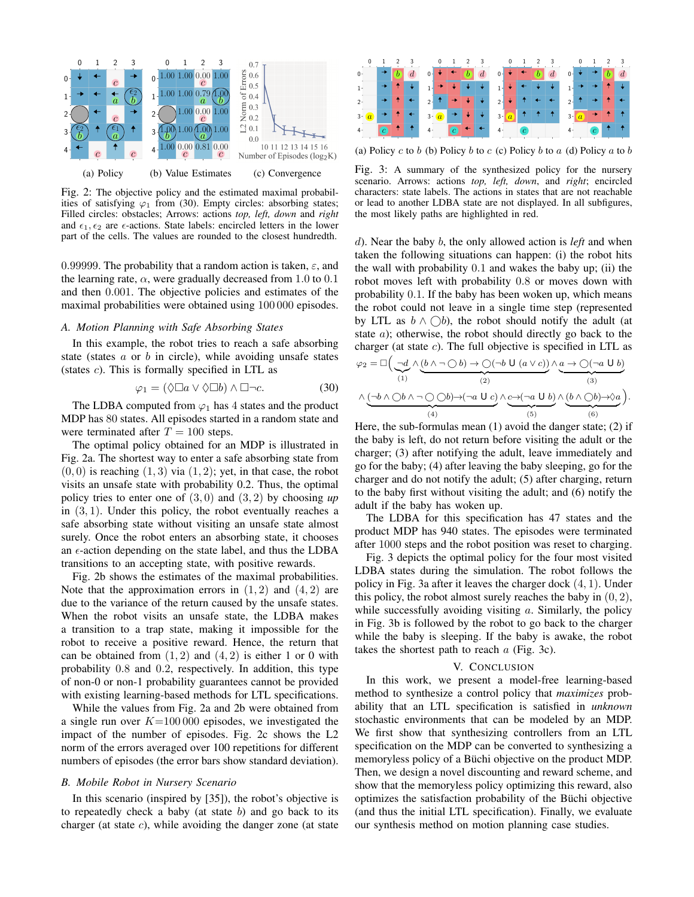

Fig. 2: The objective policy and the estimated maximal probabilities of satisfying  $\varphi_1$  from (30). Empty circles: absorbing states; Filled circles: obstacles; Arrows: actions *top, left, down* and *right* and  $\epsilon_1, \epsilon_2$  are  $\epsilon$ -actions. State labels: encircled letters in the lower part of the cells. The values are rounded to the closest hundredth.

0.99999. The probability that a random action is taken,  $\varepsilon$ , and the learning rate,  $\alpha$ , were gradually decreased from 1.0 to 0.1 and then 0.001. The objective policies and estimates of the maximal probabilities were obtained using 100 000 episodes.

#### *A. Motion Planning with Safe Absorbing States*

In this example, the robot tries to reach a safe absorbing state (states  $a$  or  $b$  in circle), while avoiding unsafe states (states c). This is formally specified in LTL as

$$
\varphi_1 = (\Diamond \Box a \lor \Diamond \Box b) \land \Box \neg c. \tag{30}
$$

The LDBA computed from  $\varphi_1$  has 4 states and the product MDP has 80 states. All episodes started in a random state and were terminated after  $T = 100$  steps.

The optimal policy obtained for an MDP is illustrated in Fig. 2a. The shortest way to enter a safe absorbing state from  $(0, 0)$  is reaching  $(1, 3)$  via  $(1, 2)$ ; yet, in that case, the robot visits an unsafe state with probability 0.2. Thus, the optimal policy tries to enter one of  $(3, 0)$  and  $(3, 2)$  by choosing up in  $(3, 1)$ . Under this policy, the robot eventually reaches a safe absorbing state without visiting an unsafe state almost surely. Once the robot enters an absorbing state, it chooses an  $\epsilon$ -action depending on the state label, and thus the LDBA transitions to an accepting state, with positive rewards.

Fig. 2b shows the estimates of the maximal probabilities. Note that the approximation errors in  $(1, 2)$  and  $(4, 2)$  are due to the variance of the return caused by the unsafe states. When the robot visits an unsafe state, the LDBA makes a transition to a trap state, making it impossible for the robot to receive a positive reward. Hence, the return that can be obtained from  $(1, 2)$  and  $(4, 2)$  is either 1 or 0 with probability 0.8 and 0.2, respectively. In addition, this type of non-0 or non-1 probability guarantees cannot be provided with existing learning-based methods for LTL specifications.

While the values from Fig. 2a and 2b were obtained from a single run over  $K=100000$  episodes, we investigated the impact of the number of episodes. Fig. 2c shows the L2 norm of the errors averaged over 100 repetitions for different numbers of episodes (the error bars show standard deviation).

# *B. Mobile Robot in Nursery Scenario*

In this scenario (inspired by [35]), the robot's objective is to repeatedly check a baby (at state  $b$ ) and go back to its charger (at state  $c$ ), while avoiding the danger zone (at state



(a) Policy c to b (b) Policy b to c (c) Policy b to a (d) Policy a to b

Fig. 3: A summary of the synthesized policy for the nursery scenario. Arrows: actions *top, left, down*, and *right*; encircled characters: state labels. The actions in states that are not reachable or lead to another LDBA state are not displayed. In all subfigures, the most likely paths are highlighted in red.

d). Near the baby b, the only allowed action is *left* and when taken the following situations can happen: (i) the robot hits the wall with probability 0.1 and wakes the baby up; (ii) the robot moves left with probability 0.8 or moves down with probability 0.1. If the baby has been woken up, which means the robot could not leave in a single time step (represented by LTL as  $b \wedge \bigcirc b$ , the robot should notify the adult (at state a); otherwise, the robot should directly go back to the charger (at state  $c$ ). The full objective is specified in LTL as

$$
\varphi_2 = \Box \Big( \underbrace{\neg d}_{(1)} \land \underbrace{(b \land \neg \bigcirc b) \to \bigcirc (\neg b \cup (a \lor c)\big)}_{(2)} \land \underbrace{a \to \bigcirc (\neg a \cup b)}_{(3)} \\ \land \underbrace{(\neg b \land \bigcirc b \land \neg \bigcirc \bigcirc b) \to (\neg a \cup c)}_{(4)} \land \underbrace{c \to (\neg a \cup b)}_{(5)} \land \underbrace{(b \land \bigcirc b) \to \Diamond a}_{(6)}\Big).
$$

Here, the sub-formulas mean (1) avoid the danger state; (2) if the baby is left, do not return before visiting the adult or the charger; (3) after notifying the adult, leave immediately and go for the baby; (4) after leaving the baby sleeping, go for the charger and do not notify the adult; (5) after charging, return to the baby first without visiting the adult; and (6) notify the adult if the baby has woken up.

The LDBA for this specification has 47 states and the product MDP has 940 states. The episodes were terminated after 1000 steps and the robot position was reset to charging.

Fig. 3 depicts the optimal policy for the four most visited LDBA states during the simulation. The robot follows the policy in Fig. 3a after it leaves the charger dock (4, 1). Under this policy, the robot almost surely reaches the baby in  $(0, 2)$ , while successfully avoiding visiting  $a$ . Similarly, the policy in Fig. 3b is followed by the robot to go back to the charger while the baby is sleeping. If the baby is awake, the robot takes the shortest path to reach  $a$  (Fig. 3c).

# V. CONCLUSION

In this work, we present a model-free learning-based method to synthesize a control policy that *maximizes* probability that an LTL specification is satisfied in *unknown* stochastic environments that can be modeled by an MDP. We first show that synthesizing controllers from an LTL specification on the MDP can be converted to synthesizing a memoryless policy of a Büchi objective on the product MDP. Then, we design a novel discounting and reward scheme, and show that the memoryless policy optimizing this reward, also optimizes the satisfaction probability of the Buchi objective ¨ (and thus the initial LTL specification). Finally, we evaluate our synthesis method on motion planning case studies.